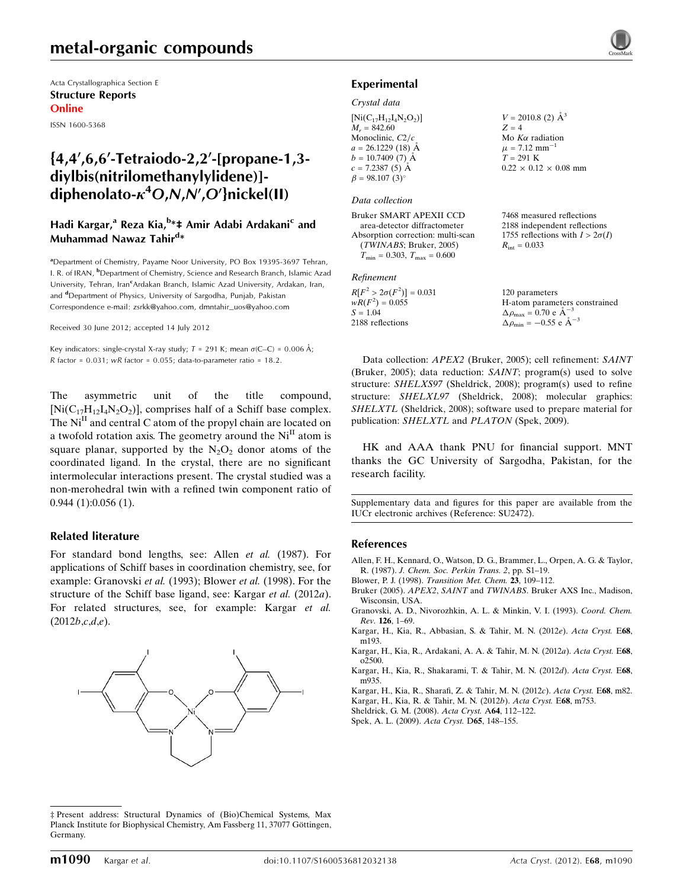## metal-organic compounds

Acta Crystallographica Section E Structure Reports Online

ISSN 1600-5368

## ${4,4',6,6'}$ -Tetraiodo-2,2'-[propane-1,3diylbis(nitrilomethanylylidene)] diphenolato- $\kappa^4$ O,N,N',O'}nickel(II)

## Hadi Kargar,<sup>a</sup> Reza Kia,<sup>b</sup>\*‡ Amir Adabi Ardakani<sup>c</sup> and Muhammad Nawaz Tahir<sup>d</sup>\*

<sup>a</sup> Department of Chemistry, Payame Noor University, PO Box 19395-3697 Tehran, I. R. of IRAN, <sup>b</sup>Department of Chemistry, Science and Research Branch, Islamic Azad University, Tehran, Iran<sup>c</sup>Ardakan Branch, Islamic Azad University, Ardakan, Iran, and <sup>d</sup>Department of Physics, University of Sargodha, Punjab, Pakistan Correspondence e-mail: [zsrkk@yahoo.com](http://scripts.iucr.org/cgi-bin/cr.cgi?rm=pdfbb&cnor=su2472&bbid=BB11), [dmntahir\\_uos@yahoo.com](http://scripts.iucr.org/cgi-bin/cr.cgi?rm=pdfbb&cnor=su2472&bbid=BB11)

Received 30 June 2012; accepted 14 July 2012

Key indicators: single-crystal X-ray study;  $T = 291$  K; mean  $\sigma$ (C–C) = 0.006 Å;  $R$  factor = 0.031;  $wR$  factor = 0.055; data-to-parameter ratio = 18.2.

The asymmetric unit of the title compound,  $[Ni(C_{17}H_{12}I_4N_2O_2)]$ , comprises half of a Schiff base complex. The  $Ni<sup>H</sup>$  and central C atom of the propyl chain are located on a twofold rotation axis. The geometry around the  $Ni<sup>H</sup>$  atom is square planar, supported by the  $N_2O_2$  donor atoms of the coordinated ligand. In the crystal, there are no significant intermolecular interactions present. The crystal studied was a non-merohedral twin with a refined twin component ratio of 0.944 (1):0.056 (1).

#### Related literature

For standard bond lengths, see: Allen et al. (1987). For applications of Schiff bases in coordination chemistry, see, for example: Granovski et al. (1993); Blower et al. (1998). For the structure of the Schiff base ligand, see: Kargar *et al.* (2012*a*). For related structures, see, for example: Kargar et al.  $(2012b, c, d, e)$ .



<sup>‡</sup> Present address: Structural Dynamics of (Bio)Chemical Systems, Max Planck Institute for Biophysical Chemistry, Am Fassberg 11, 37077 Göttingen, Germany.



#### Experimental

#### Crystal data

| $[Ni(C_{17}H_{12}I_4N_2O_2)]$ | $V = 2010.8$ (2) $\AA^3$          |
|-------------------------------|-----------------------------------|
| $M_r = 842.60$                | $Z = 4$                           |
| Monoclinic, $C2/c$            | Mo $K\alpha$ radiation            |
| $a = 26.1229(18)$ Å           | $\mu$ = 7.12 mm <sup>-1</sup>     |
| $b = 10.7409(7)$ Å            | $T = 291$ K                       |
| $c = 7.2387(5)$ Å             | $0.22 \times 0.12 \times 0.08$ mm |
| $\beta = 98.107(3)$ °         |                                   |

#### Data collection

Bruker SMART APEXII CCD area-detector diffractometer Absorption correction: multi-scan (TWINABS; Bruker, 2005)  $T_{\text{min}} = 0.303, T_{\text{max}} = 0.600$ 

#### Refinement

| $R[F^2 > 2\sigma(F^2)] = 0.031$ | 120 parameters                                     |
|---------------------------------|----------------------------------------------------|
| $wR(F^2) = 0.055$               | H-atom parameters constrained                      |
| $S = 1.04$                      | $\Delta \rho_{\text{max}} = 0.70 \text{ e A}^{-3}$ |
| 2188 reflections                | $\Delta \rho_{\text{min}} = -0.55$ e $\AA^{-3}$    |

7468 measured reflections 2188 independent reflections 1755 reflections with  $I > 2\sigma(I)$ 

 $R_{\text{int}} = 0.033$ 

Data collection: APEX2 (Bruker, 2005); cell refinement: SAINT (Bruker, 2005); data reduction: SAINT; program(s) used to solve structure: SHELXS97 (Sheldrick, 2008); program(s) used to refine structure: SHELXL97 (Sheldrick, 2008); molecular graphics: SHELXTL (Sheldrick, 2008); software used to prepare material for publication: SHELXTL and PLATON (Spek, 2009).

HK and AAA thank PNU for financial support. MNT thanks the GC University of Sargodha, Pakistan, for the research facility.

Supplementary data and figures for this paper are available from the IUCr electronic archives (Reference: SU2472).

#### References

- [Allen, F. H., Kennard, O., Watson, D. G., Brammer, L., Orpen, A. G. & Taylor,](http://scripts.iucr.org/cgi-bin/cr.cgi?rm=pdfbb&cnor=su2472&bbid=BB1) R. (1987). [J. Chem. Soc. Perkin Trans. 2](http://scripts.iucr.org/cgi-bin/cr.cgi?rm=pdfbb&cnor=su2472&bbid=BB1), pp. S1–19.
- Blower, P. J. (1998). [Transition Met. Chem.](http://scripts.iucr.org/cgi-bin/cr.cgi?rm=pdfbb&cnor=su2472&bbid=BB2) 23, 109–112.
- Bruker (2005). APEX2, SAINT and TWINABS[. Bruker AXS Inc., Madison,](http://scripts.iucr.org/cgi-bin/cr.cgi?rm=pdfbb&cnor=su2472&bbid=BB3) [Wisconsin, USA.](http://scripts.iucr.org/cgi-bin/cr.cgi?rm=pdfbb&cnor=su2472&bbid=BB3)
- [Granovski, A. D., Nivorozhkin, A. L. & Minkin, V. I. \(1993\).](http://scripts.iucr.org/cgi-bin/cr.cgi?rm=pdfbb&cnor=su2472&bbid=BB4) Coord. Chem. Rev. 126[, 1–69.](http://scripts.iucr.org/cgi-bin/cr.cgi?rm=pdfbb&cnor=su2472&bbid=BB4)
- [Kargar, H., Kia, R., Abbasian, S. & Tahir, M. N. \(2012](http://scripts.iucr.org/cgi-bin/cr.cgi?rm=pdfbb&cnor=su2472&bbid=BB5)e). Acta Cryst. E68, [m193.](http://scripts.iucr.org/cgi-bin/cr.cgi?rm=pdfbb&cnor=su2472&bbid=BB5)
- [Kargar, H., Kia, R., Ardakani, A. A. & Tahir, M. N. \(2012](http://scripts.iucr.org/cgi-bin/cr.cgi?rm=pdfbb&cnor=su2472&bbid=BB6)a). Acta Cryst. E68, [o2500.](http://scripts.iucr.org/cgi-bin/cr.cgi?rm=pdfbb&cnor=su2472&bbid=BB6)
- [Kargar, H., Kia, R., Shakarami, T. & Tahir, M. N. \(2012](http://scripts.iucr.org/cgi-bin/cr.cgi?rm=pdfbb&cnor=su2472&bbid=BB7)d). Acta Cryst. E68, [m935.](http://scripts.iucr.org/cgi-bin/cr.cgi?rm=pdfbb&cnor=su2472&bbid=BB7)

[Kargar, H., Kia, R., Sharafi, Z. & Tahir, M. N. \(2012](http://scripts.iucr.org/cgi-bin/cr.cgi?rm=pdfbb&cnor=su2472&bbid=BB8)c). Acta Cryst. E68, m82.

[Kargar, H., Kia, R. & Tahir, M. N. \(2012](http://scripts.iucr.org/cgi-bin/cr.cgi?rm=pdfbb&cnor=su2472&bbid=BB9)b). Acta Cryst. E68, m753.

- [Sheldrick, G. M. \(2008\).](http://scripts.iucr.org/cgi-bin/cr.cgi?rm=pdfbb&cnor=su2472&bbid=BB10) Acta Cryst. A64, 112–122.
- [Spek, A. L. \(2009\).](http://scripts.iucr.org/cgi-bin/cr.cgi?rm=pdfbb&cnor=su2472&bbid=BB11) Acta Cryst. D65, 148–155.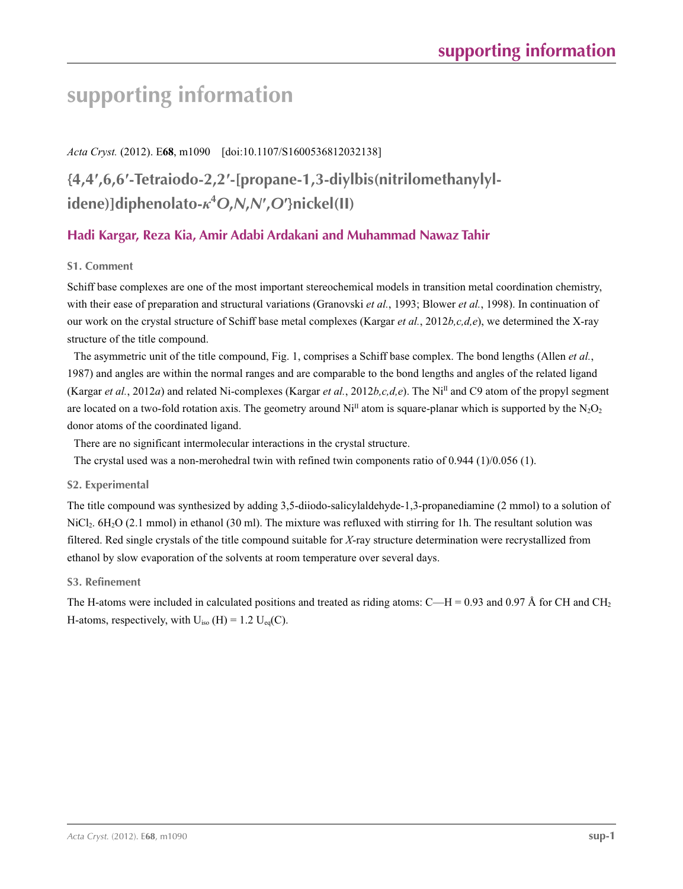# **supporting information**

## *Acta Cryst.* (2012). E**68**, m1090 [doi:10.1107/S1600536812032138]

# **{4,4′,6,6′-Tetraiodo-2,2′-[propane-1,3-diylbis(nitrilomethanylylidene)]diphenolato-***κ***<sup>4</sup>** *O***,***N***,***N***′ ,***O***′}nickel(II)**

## **Hadi Kargar, Reza Kia, Amir Adabi Ardakani and Muhammad Nawaz Tahir**

## **S1. Comment**

Schiff base complexes are one of the most important stereochemical models in transition metal coordination chemistry, with their ease of preparation and structural variations (Granovski *et al.*, 1993; Blower *et al.*, 1998). In continuation of our work on the crystal structure of Schiff base metal complexes (Kargar *et al.*, 2012*b,c,d,e*), we determined the X-ray structure of the title compound.

The asymmetric unit of the title compound, Fig. 1, comprises a Schiff base complex. The bond lengths (Allen *et al.*, 1987) and angles are within the normal ranges and are comparable to the bond lengths and angles of the related ligand (Kargar *et al.*, 2012*a*) and related Ni-complexes (Kargar *et al.*, 2012*b,c,d,e*). The NiII and C9 atom of the propyl segment are located on a two-fold rotation axis. The geometry around  $Ni<sup>II</sup>$  atom is square-planar which is supported by the N<sub>2</sub>O<sub>2</sub> donor atoms of the coordinated ligand.

There are no significant intermolecular interactions in the crystal structure.

The crystal used was a non-merohedral twin with refined twin components ratio of 0.944 (1)/0.056 (1).

## **S2. Experimental**

The title compound was synthesized by adding 3,5-diiodo-salicylaldehyde-1,3-propanediamine (2 mmol) to a solution of NiCl<sub>2</sub>. 6H<sub>2</sub>O (2.1 mmol) in ethanol (30 ml). The mixture was refluxed with stirring for 1h. The resultant solution was filtered. Red single crystals of the title compound suitable for *X*-ray structure determination were recrystallized from ethanol by slow evaporation of the solvents at room temperature over several days.

## **S3. Refinement**

The H-atoms were included in calculated positions and treated as riding atoms:  $C-H = 0.93$  and 0.97 Å for CH and CH<sub>2</sub> H-atoms, respectively, with  $U_{iso}$  (H) = 1.2  $U_{eq}(C)$ .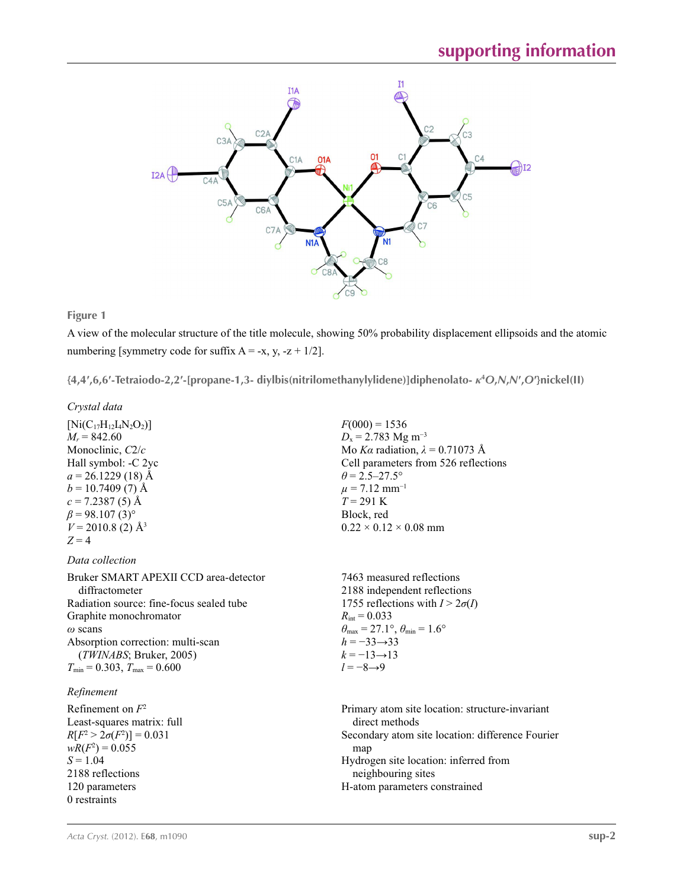

### **Figure 1**

A view of the molecular structure of the title molecule, showing 50% probability displacement ellipsoids and the atomic numbering [symmetry code for suffix  $A = -x$ , y,  $-z + 1/2$ ].

{4,4',6,6'-Tetraiodo-2,2'-[propane-1,3-diylbis(nitrilomethanylylidene)]diphenolato-  $\kappa$ <sup>4</sup>O,N,N',O'}nickel(II)

#### *Crystal data*

 $[Ni(C_{17}H_{12}I_4N_2O_2)]$  $M_r = 842.60$ Monoclinic, *C*2/*c* Hall symbol: -C 2yc  $a = 26.1229(18)$  Å  $b = 10.7409(7)$  Å  $c = 7.2387(5)$  Å  $\beta$  = 98.107 (3)<sup>o</sup>  $V = 2010.8$  (2)  $\AA$ <sup>3</sup>  $Z = 4$ 

*Data collection*

Bruker SMART APEXII CCD area-detector diffractometer Radiation source: fine-focus sealed tube Graphite monochromator *ω* scans Absorption correction: multi-scan (*TWINABS*; Bruker, 2005)  $T_{\text{min}} = 0.303$ ,  $T_{\text{max}} = 0.600$ 

### *Refinement*

Refinement on *F*<sup>2</sup> Least-squares matrix: full  $R[F^2 > 2\sigma(F^2)] = 0.031$  $wR(F^2) = 0.055$  $S = 1.04$ 2188 reflections 120 parameters 0 restraints

 $F(000) = 1536$  $D_x = 2.783$  Mg m<sup>-3</sup> Mo *Kα* radiation,  $\lambda = 0.71073$  Å Cell parameters from 526 reflections  $\theta$  = 2.5–27.5°  $\mu$  = 7.12 mm<sup>-1</sup>  $T = 291$  K Block, red  $0.22 \times 0.12 \times 0.08$  mm

7463 measured reflections 2188 independent reflections 1755 reflections with  $I > 2\sigma(I)$  $R_{\text{int}} = 0.033$  $\theta_{\text{max}} = 27.1^{\circ}, \theta_{\text{min}} = 1.6^{\circ}$ *h* = −33→33  $k = -13 \rightarrow 13$ *l* = −8→9

Primary atom site location: structure-invariant direct methods Secondary atom site location: difference Fourier map Hydrogen site location: inferred from neighbouring sites H-atom parameters constrained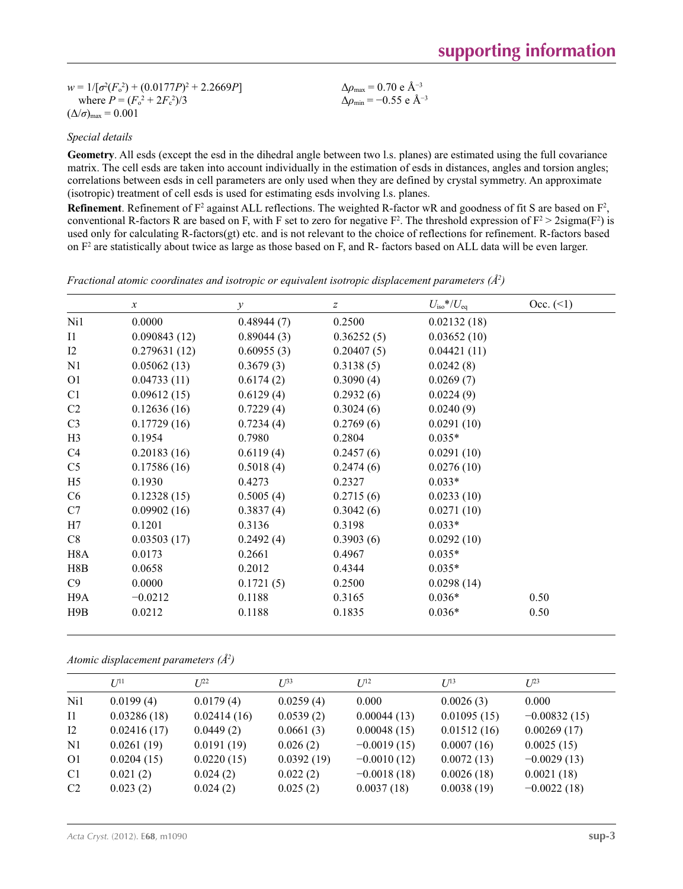$w = 1/[\sigma^2 (F_o^2) + (0.0177P)^2 + 2.2669P]$ where  $P = (F_o^2 + 2F_c^2)/3$  $(\Delta/\sigma)_{\text{max}} = 0.001$ Δ*ρ*max = 0.70 e Å−3 Δ*ρ*min = −0.55 e Å−3

*Special details*

**Geometry**. All esds (except the esd in the dihedral angle between two l.s. planes) are estimated using the full covariance matrix. The cell esds are taken into account individually in the estimation of esds in distances, angles and torsion angles; correlations between esds in cell parameters are only used when they are defined by crystal symmetry. An approximate (isotropic) treatment of cell esds is used for estimating esds involving l.s. planes.

**Refinement**. Refinement of  $F^2$  against ALL reflections. The weighted R-factor wR and goodness of fit S are based on  $F^2$ , conventional R-factors R are based on F, with F set to zero for negative  $F^2$ . The threshold expression of  $F^2 > 2 \text{sigma}(F^2)$  is used only for calculating R-factors(gt) etc. and is not relevant to the choice of reflections for refinement. R-factors based on  $F<sup>2</sup>$  are statistically about twice as large as those based on F, and R- factors based on ALL data will be even larger.

*Fractional atomic coordinates and isotropic or equivalent isotropic displacement parameters (Å2 )*

|                  | $\mathcal{X}$ | $\mathcal V$ | $\boldsymbol{Z}$ | $U_{\rm iso}*/U_{\rm eq}$ | Occ. (2) |
|------------------|---------------|--------------|------------------|---------------------------|----------|
| Ni1              | 0.0000        | 0.48944(7)   | 0.2500           | 0.02132(18)               |          |
| $_{\rm I1}$      | 0.090843(12)  | 0.89044(3)   | 0.36252(5)       | 0.03652(10)               |          |
| 12               | 0.279631(12)  | 0.60955(3)   | 0.20407(5)       | 0.04421(11)               |          |
| N1               | 0.05062(13)   | 0.3679(3)    | 0.3138(5)        | 0.0242(8)                 |          |
| O <sub>1</sub>   | 0.04733(11)   | 0.6174(2)    | 0.3090(4)        | 0.0269(7)                 |          |
| C1               | 0.09612(15)   | 0.6129(4)    | 0.2932(6)        | 0.0224(9)                 |          |
| C <sub>2</sub>   | 0.12636(16)   | 0.7229(4)    | 0.3024(6)        | 0.0240(9)                 |          |
| C <sub>3</sub>   | 0.17729(16)   | 0.7234(4)    | 0.2769(6)        | 0.0291(10)                |          |
| H <sub>3</sub>   | 0.1954        | 0.7980       | 0.2804           | $0.035*$                  |          |
| C4               | 0.20183(16)   | 0.6119(4)    | 0.2457(6)        | 0.0291(10)                |          |
| C <sub>5</sub>   | 0.17586(16)   | 0.5018(4)    | 0.2474(6)        | 0.0276(10)                |          |
| H <sub>5</sub>   | 0.1930        | 0.4273       | 0.2327           | $0.033*$                  |          |
| C <sub>6</sub>   | 0.12328(15)   | 0.5005(4)    | 0.2715(6)        | 0.0233(10)                |          |
| C7               | 0.09902(16)   | 0.3837(4)    | 0.3042(6)        | 0.0271(10)                |          |
| H7               | 0.1201        | 0.3136       | 0.3198           | $0.033*$                  |          |
| C8               | 0.03503(17)   | 0.2492(4)    | 0.3903(6)        | 0.0292(10)                |          |
| H <sub>8</sub> A | 0.0173        | 0.2661       | 0.4967           | $0.035*$                  |          |
| H8B              | 0.0658        | 0.2012       | 0.4344           | $0.035*$                  |          |
| C9               | 0.0000        | 0.1721(5)    | 0.2500           | 0.0298(14)                |          |
| H9A              | $-0.0212$     | 0.1188       | 0.3165           | $0.036*$                  | 0.50     |
| H9B              | 0.0212        | 0.1188       | 0.1835           | $0.036*$                  | 0.50     |

*Atomic displacement parameters (Å2 )*

|                   | $U^{11}$    | $L^{22}$    | $L^{33}$   | $I^{12}$      | $I^{13}$    | $L^{23}$       |
|-------------------|-------------|-------------|------------|---------------|-------------|----------------|
| Ni1               | 0.0199(4)   | 0.0179(4)   | 0.0259(4)  | 0.000         | 0.0026(3)   | 0.000          |
| $\overline{11}$   | 0.03286(18) | 0.02414(16) | 0.0539(2)  | 0.00044(13)   | 0.01095(15) | $-0.00832(15)$ |
| $12 \ \mathrm{I}$ | 0.02416(17) | 0.0449(2)   | 0.0661(3)  | 0.00048(15)   | 0.01512(16) | 0.00269(17)    |
| N1                | 0.0261(19)  | 0.0191(19)  | 0.026(2)   | $-0.0019(15)$ | 0.0007(16)  | 0.0025(15)     |
| O <sub>1</sub>    | 0.0204(15)  | 0.0220(15)  | 0.0392(19) | $-0.0010(12)$ | 0.0072(13)  | $-0.0029(13)$  |
| C <sub>1</sub>    | 0.021(2)    | 0.024(2)    | 0.022(2)   | $-0.0018(18)$ | 0.0026(18)  | 0.0021(18)     |
| C <sub>2</sub>    | 0.023(2)    | 0.024(2)    | 0.025(2)   | 0.0037(18)    | 0.0038(19)  | $-0.0022(18)$  |
|                   |             |             |            |               |             |                |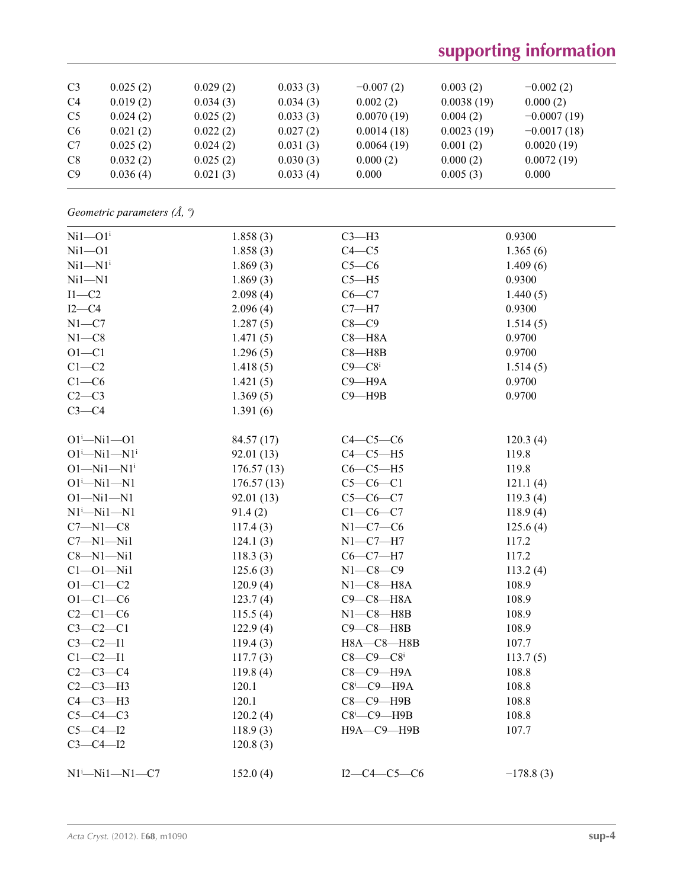# **supporting information**

| C <sub>3</sub> | 0.025(2) | 0.029(2) | 0.033(3) | $-0.007(2)$ | 0.003(2)   | $-0.002(2)$   |
|----------------|----------|----------|----------|-------------|------------|---------------|
| C <sub>4</sub> | 0.019(2) | 0.034(3) | 0.034(3) | 0.002(2)    | 0.0038(19) | 0.000(2)      |
| C <sub>5</sub> | 0.024(2) | 0.025(2) | 0.033(3) | 0.0070(19)  | 0.004(2)   | $-0.0007(19)$ |
| C <sub>6</sub> | 0.021(2) | 0.022(2) | 0.027(2) | 0.0014(18)  | 0.0023(19) | $-0.0017(18)$ |
| C7             | 0.025(2) | 0.024(2) | 0.031(3) | 0.0064(19)  | 0.001(2)   | 0.0020(19)    |
| C8             | 0.032(2) | 0.025(2) | 0.030(3) | 0.000(2)    | 0.000(2)   | 0.0072(19)    |
| C9             | 0.036(4) | 0.021(3) | 0.033(4) | 0.000       | 0.005(3)   | 0.000         |

*Geometric parameters (Å, º)*

| 1.858(3)   | $C3-H3$                       | 0.9300      |
|------------|-------------------------------|-------------|
| 1.858(3)   | $C4 - C5$                     | 1.365(6)    |
| 1.869(3)   | $C5-C6$                       | 1.409(6)    |
| 1.869(3)   | $C5 - H5$                     | 0.9300      |
| 2.098(4)   | $C6 - C7$                     | 1.440(5)    |
| 2.096(4)   | $C7 - H7$                     | 0.9300      |
| 1.287(5)   | $C8-C9$                       | 1.514(5)    |
| 1.471(5)   | $C8 - H8A$                    | 0.9700      |
| 1.296(5)   | $C8 - H8B$                    | 0.9700      |
| 1.418(5)   | $C9 - C8$ <sup>i</sup>        | 1.514(5)    |
| 1.421(5)   | $C9 - H9A$                    | 0.9700      |
| 1.369(5)   | $C9 - H9B$                    | 0.9700      |
| 1.391(6)   |                               |             |
| 84.57 (17) | $C4-C5-C6$                    | 120.3(4)    |
| 92.01(13)  | $C4-C5-H5$                    | 119.8       |
| 176.57(13) | $C6-C5-H5$                    | 119.8       |
| 176.57(13) | $C5-C6-C1$                    | 121.1(4)    |
| 92.01(13)  | $C5-C6-C7$                    | 119.3(4)    |
| 91.4(2)    | $C1-C6-C7$                    | 118.9(4)    |
| 117.4(3)   | $N1-C7-C6$                    | 125.6(4)    |
| 124.1(3)   | $N1 - C7 - H7$                | 117.2       |
| 118.3(3)   | $C6-C7-H7$                    | 117.2       |
| 125.6(3)   | $N1 - C8 - C9$                | 113.2(4)    |
| 120.9(4)   | $N1-C8-H8A$                   | 108.9       |
| 123.7(4)   | $C9-C8-H8A$                   | 108.9       |
| 115.5(4)   | $N1-C8 - H8B$                 | 108.9       |
| 122.9(4)   | $C9 - C8 - H8B$               | 108.9       |
| 119.4(3)   | H8A-C8-H8B                    | 107.7       |
| 117.7(3)   | $C8 - C9 - C8$                | 113.7(5)    |
| 119.8(4)   | С8-С9-Н9А                     | 108.8       |
| 120.1      | $C8$ <sup>i</sup> - $C9$ -H9A | 108.8       |
| 120.1      | $C8-C9-$ H9B                  | 108.8       |
| 120.2(4)   | $C8$ <sup>i</sup> - $C9$ -H9B | 108.8       |
| 118.9(3)   | Н9А-С9-Н9В                    | 107.7       |
| 120.8(3)   |                               |             |
| 152.0(4)   | $I2-C4-C5-C6$                 | $-178.8(3)$ |
|            |                               |             |